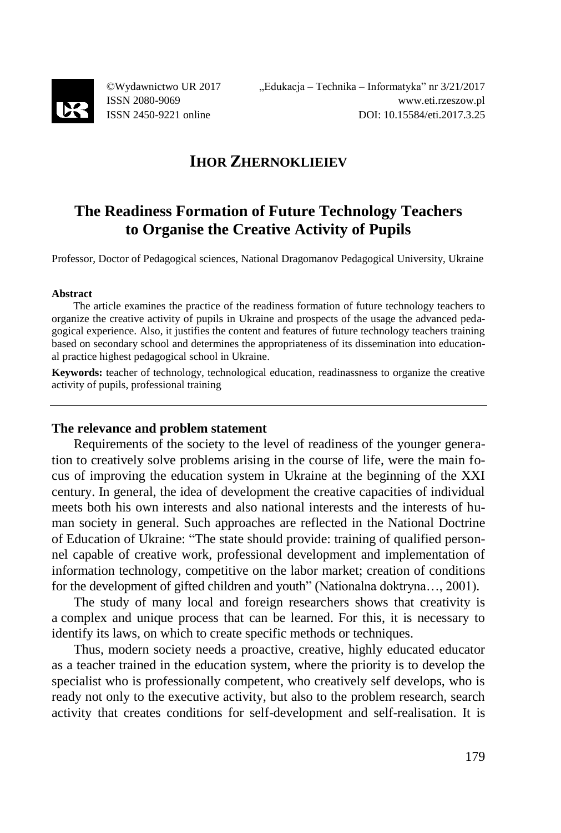

©Wydawnictwo UR 2017 ISSN 2080-9069 ISSN 2450-9221 online

## **IHOR ZHERNOKLIEIEV**

# **The Readiness Formation of Future Technology Teachers to Organise the Creative Activity of Pupils**

Professor, Doctor of Pedagogical sciences, National Dragomanov Pedagogical University, Ukraine

#### **Abstract**

The article examines the practice of the readiness formation of future technology teachers to organize the creative activity of pupils in Ukraine and prospects of the usage the advanced pedagogical experience. Also, it justifies the content and features of future technology teachers training based on secondary school and determines the appropriateness of its dissemination into educational practice highest pedagogical school in Ukraine.

**Keywords:** teacher of technology, technological education, readinassness to organize the creative activity of pupils, professional training

## **The relevance and problem statement**

Requirements of the society to the level of readiness of the younger generation to creatively solve problems arising in the course of life, were the main focus of improving the education system in Ukraine at the beginning of the XXI century. In general, the idea of development the creative capacities of individual meets both his own interests and also national interests and the interests of human society in general. Such approaches are reflected in the National Doctrine of Education of Ukraine: "The state should provide: training of qualified personnel capable of creative work, professional development and implementation of information technology, competitive on the labor market; creation of conditions for the development of gifted children and youth" (Nationalna doktryna..., 2001).

The study of many local and foreign researchers shows that creativity is a complex and unique process that can be learned. For this, it is necessary to identify its laws, on which to create specific methods or techniques.

Thus, modern society needs a proactive, creative, highly educated educator as a teacher trained in the education system, where the priority is to develop the specialist who is professionally competent, who creatively self develops, who is ready not only to the executive activity, but also to the problem research, search activity that creates conditions for self-development and self-realisation. It is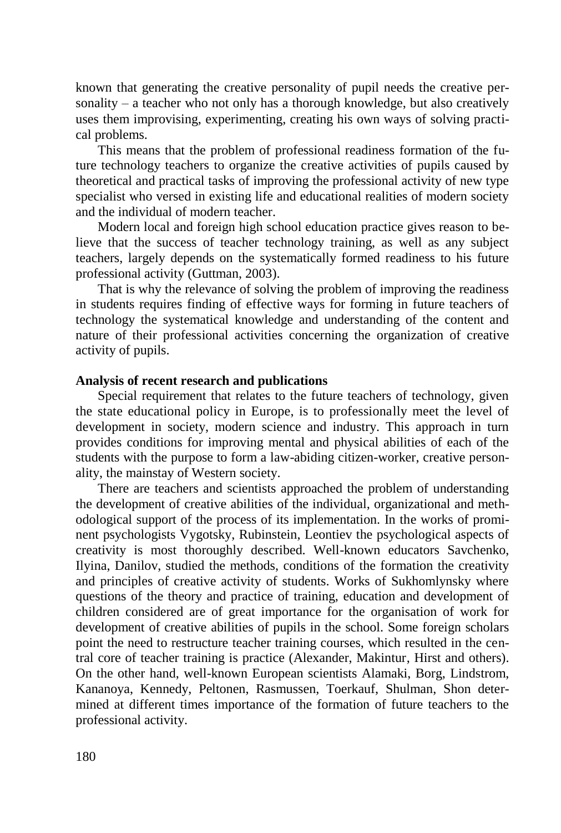known that generating the creative personality of pupil needs the creative personality – a teacher who not only has a thorough knowledge, but also creatively uses them improvising, experimenting, creating his own ways of solving practical problems.

This means that the problem of professional readiness formation of the future technology teachers to organize the creative activities of pupils caused by theoretical and practical tasks of improving the professional activity of new type specialist who versed in existing life and educational realities of modern society and the individual of modern teacher.

Modern local and foreign high school education practice gives reason to believe that the success of teacher technology training, as well as any subject teachers, largely depends on the systematically formed readiness to his future professional activity (Guttman, 2003).

That is why the relevance of solving the problem of improving the readiness in students requires finding of effective ways for forming in future teachers of technology the systematical knowledge and understanding of the content and nature of their professional activities concerning the organization of creative activity of pupils.

## **Analysis of recent research and publications**

Special requirement that relates to the future teachers of technology, given the state educational policy in Europe, is to professionally meet the level of development in society, modern science and industry. This approach in turn provides conditions for improving mental and physical abilities of each of the students with the purpose to form a law-abiding citizen-worker, creative personality, the mainstay of Western society.

There are teachers and scientists approached the problem of understanding the development of creative abilities of the individual, organizational and methodological support of the process of its implementation. In the works of prominent psychologists Vygotsky, Rubinstein, Leontiev the psychological aspects of creativity is most thoroughly described. Well-known educators Savchenko, Ilyina, Danilov, studied the methods, conditions of the formation the creativity and principles of creative activity of students. Works of Sukhomlynsky where questions of the theory and practice of training, education and development of children considered are of great importance for the organisation of work for development of creative abilities of pupils in the school. Some foreign scholars point the need to restructure teacher training courses, which resulted in the central core of teacher training is practice (Alexander, Makintur, Hirst and others). On the other hand, well-known European scientists Alamaki, Borg, Lindstrom, Kananoya, Kennedy, Peltonen, Rasmussen, Toerkauf, Shulman, Shon determined at different times importance of the formation of future teachers to the professional activity.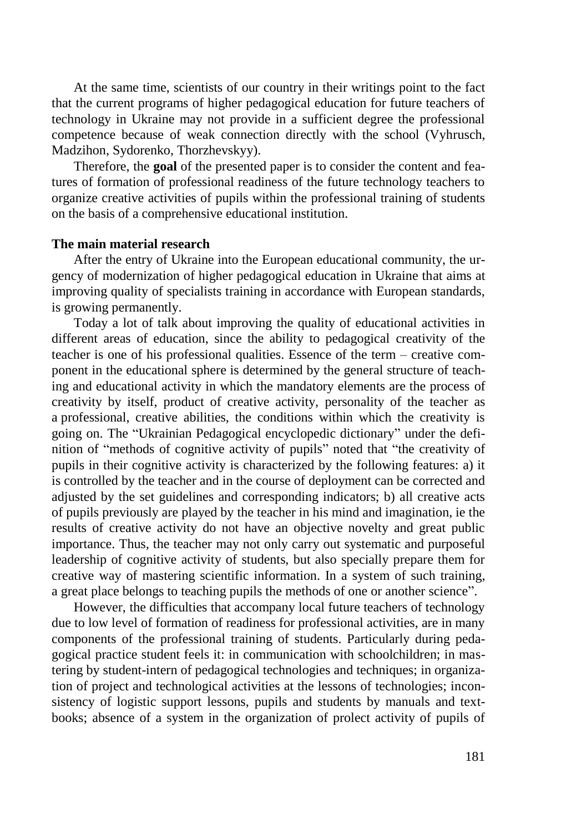At the same time, scientists of our country in their writings point to the fact that the current programs of higher pedagogical education for future teachers of technology in Ukraine may not provide in a sufficient degree the professional competence because of weak connection directly with the school (Vyhrusch, Madzihon, Sydorenko, Thorzhevskyy).

Therefore, the **goal** of the presented paper is to consider the content and features of formation of professional readiness of the future technology teachers to organize creative activities of pupils within the professional training of students on the basis of a comprehensive educational institution.

#### **The main material research**

After the entry of Ukraine into the European educational community, the urgency of modernization of higher pedagogical education in Ukraine that aims at improving quality of specialists training in accordance with European standards, is growing permanently.

Today a lot of talk about improving the quality of educational activities in different areas of education, since the ability to pedagogical creativity of the teacher is one of his professional qualities. Essence of the term – creative component in the educational sphere is determined by the general structure of teaching and educational activity in which the mandatory elements are the process of creativity by itself, product of creative activity, personality of the teacher as a professional, creative abilities, the conditions within which the creativity is going on. The "Ukrainian Pedagogical encyclopedic dictionary" under the definition of "methods of cognitive activity of pupils" noted that "the creativity of pupils in their cognitive activity is characterized by the following features: a) it is controlled by the teacher and in the course of deployment can be corrected and adjusted by the set guidelines and corresponding indicators; b) all creative acts of pupils previously are played by the teacher in his mind and imagination, ie the results of creative activity do not have an objective novelty and great public importance. Thus, the teacher may not only carry out systematic and purposeful leadership of cognitive activity of students, but also specially prepare them for creative way of mastering scientific information. In a system of such training, a great place belongs to teaching pupils the methods of one or another science".

However, the difficulties that accompany local future teachers of technology due to low level of formation of readiness for professional activities, are in many components of the professional training of students. Particularly during pedagogical practice student feels it: in communication with schoolchildren; in mastering by student-intern of pedagogical technologies and techniques; in organization of project and technological activities at the lessons of technologies; inconsistency of logistic support lessons, pupils and students by manuals and textbooks; absence of a system in the organization of prolect activity of pupils of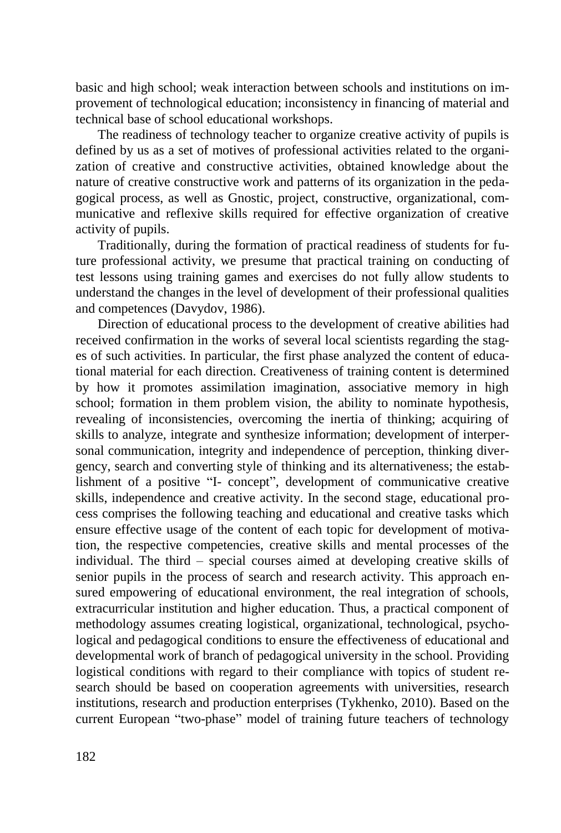basic and high school; weak interaction between schools and institutions on improvement of technological education; inconsistency in financing of material and technical base of school educational workshops.

The readiness of technology teacher to organize creative activity of pupils is defined by us as a set of motives of professional activities related to the organization of creative and constructive activities, obtained knowledge about the nature of creative constructive work and patterns of its organization in the pedagogical process, as well as Gnostic, project, constructive, organizational, communicative and reflexive skills required for effective organization of creative activity of pupils.

Traditionally, during the formation of practical readiness of students for future professional activity, we presume that practical training on conducting of test lessons using training games and exercises do not fully allow students to understand the changes in the level of development of their professional qualities and competences (Davydov, 1986).

Direction of educational process to the development of creative abilities had received confirmation in the works of several local scientists regarding the stages of such activities. In particular, the first phase analyzed the content of educational material for each direction. Creativeness of training content is determined by how it promotes assimilation imagination, associative memory in high school; formation in them problem vision, the ability to nominate hypothesis, revealing of inconsistencies, overcoming the inertia of thinking; acquiring of skills to analyze, integrate and synthesize information; development of interpersonal communication, integrity and independence of perception, thinking divergency, search and converting style of thinking and its alternativeness; the establishment of a positive "I- concept", development of communicative creative skills, independence and creative activity. In the second stage, educational process comprises the following teaching and educational and creative tasks which ensure effective usage of the content of each topic for development of motivation, the respective competencies, creative skills and mental processes of the individual. The third – special courses aimed at developing creative skills of senior pupils in the process of search and research activity. This approach ensured empowering of educational environment, the real integration of schools, extracurricular institution and higher education. Thus, a practical component of methodology assumes creating logistical, organizational, technological, psychological and pedagogical conditions to ensure the effectiveness of educational and developmental work of branch of pedagogical university in the school. Providing logistical conditions with regard to their compliance with topics of student research should be based on cooperation agreements with universities, research institutions, research and production enterprises (Tykhenko, 2010). Based on the current European "two-phase" model of training future teachers of technology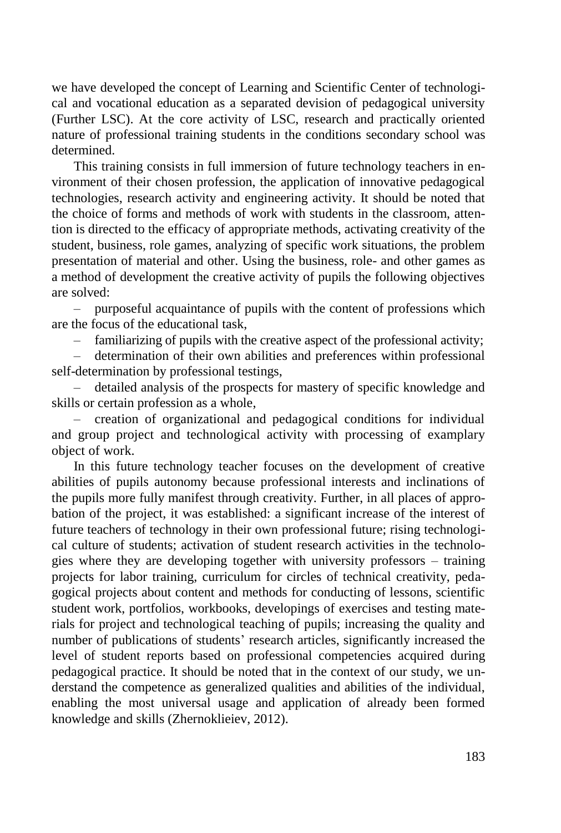we have developed the concept of Learning and Scientific Center of technological and vocational education as a separated devision of pedagogical university (Further LSC). At the core activity of LSC, research and practically oriented nature of professional training students in the conditions secondary school was determined.

This training consists in full immersion of future technology teachers in environment of their chosen profession, the application of innovative pedagogical technologies, research activity and engineering activity. It should be noted that the choice of forms and methods of work with students in the classroom, attention is directed to the efficacy of appropriate methods, activating creativity of the student, business, role games, analyzing of specific work situations, the problem presentation of material and other. Using the business, role- and other games as a method of development the creative activity of pupils the following objectives are solved:

– purposeful acquaintance of pupils with the content of professions which are the focus of the educational task,

– familiarizing of pupils with the creative aspect of the professional activity;

– determination of their own abilities and preferences within professional self-determination by professional testings,

– detailed analysis of the prospects for mastery of specific knowledge and skills or certain profession as a whole,

– creation of organizational and pedagogical conditions for individual and group project and technological activity with processing of examplary object of work.

In this future technology teacher focuses on the development of creative abilities of pupils autonomy because professional interests and inclinations of the pupils more fully manifest through creativity. Further, in all places of approbation of the project, it was established: a significant increase of the interest of future teachers of technology in their own professional future; rising technological culture of students; activation of student research activities in the technologies where they are developing together with university professors – training projects for labor training, curriculum for circles of technical creativity, pedagogical projects about content and methods for conducting of lessons, scientific student work, portfolios, workbooks, developings of exercises and testing materials for project and technological teaching of pupils; increasing the quality and number of publications of students' research articles, significantly increased the level of student reports based on professional competencies acquired during pedagogical practice. It should be noted that in the context of our study, we understand the competence as generalized qualities and abilities of the individual, enabling the most universal usage and application of already been formed knowledge and skills (Zhernoklieiev, 2012).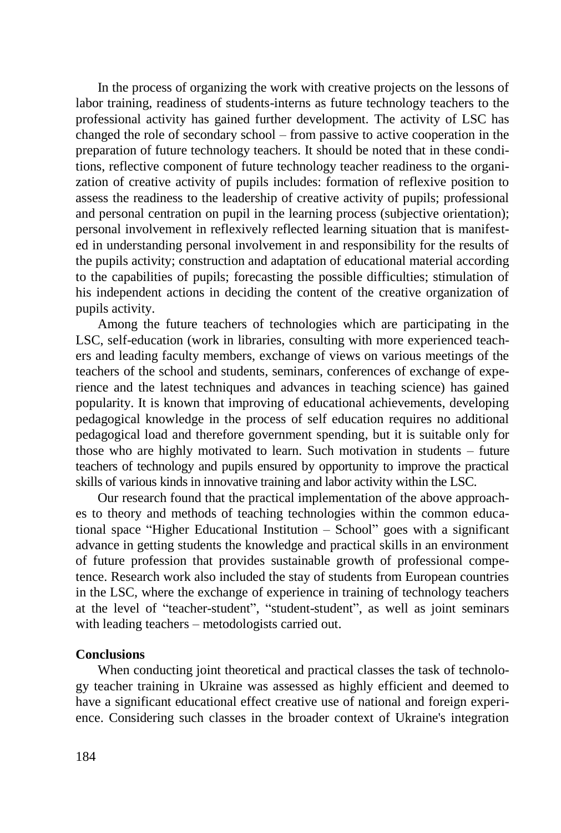In the process of organizing the work with creative projects on the lessons of labor training, readiness of students-interns as future technology teachers to the professional activity has gained further development. The activity of LSC has changed the role of secondary school – from passive to active cooperation in the preparation of future technology teachers. It should be noted that in these conditions, reflective component of future technology teacher readiness to the organization of creative activity of pupils includes: formation of reflexive position to assess the readiness to the leadership of creative activity of pupils; professional and personal centration on pupil in the learning process (subjective orientation); personal involvement in reflexively reflected learning situation that is manifested in understanding personal involvement in and responsibility for the results of the pupils activity; construction and adaptation of educational material according to the capabilities of pupils; forecasting the possible difficulties; stimulation of his independent actions in deciding the content of the creative organization of pupils activity.

Among the future teachers of technologies which are participating in the LSC, self-education (work in libraries, consulting with more experienced teachers and leading faculty members, exchange of views on various meetings of the teachers of the school and students, seminars, conferences of exchange of experience and the latest techniques and advances in teaching science) has gained popularity. It is known that improving of educational achievements, developing pedagogical knowledge in the process of self education requires no additional pedagogical load and therefore government spending, but it is suitable only for those who are highly motivated to learn. Such motivation in students – future teachers of technology and pupils ensured by opportunity to improve the practical skills of various kinds in innovative training and labor activity within the LSC.

Our research found that the practical implementation of the above approaches to theory and methods of teaching technologies within the common educational space "Higher Educational Institution – School" goes with a significant advance in getting students the knowledge and practical skills in an environment of future profession that provides sustainable growth of professional competence. Research work also included the stay of students from European countries in the LSC, where the exchange of experience in training of technology teachers at the level of "teacher-student", "student-student", as well as joint seminars with leading teachers – metodologists carried out.

## **Conclusions**

When conducting joint theoretical and practical classes the task of technology teacher training in Ukraine was assessed as highly efficient and deemed to have a significant educational effect creative use of national and foreign experience. Considering such classes in the broader context of Ukraine's integration